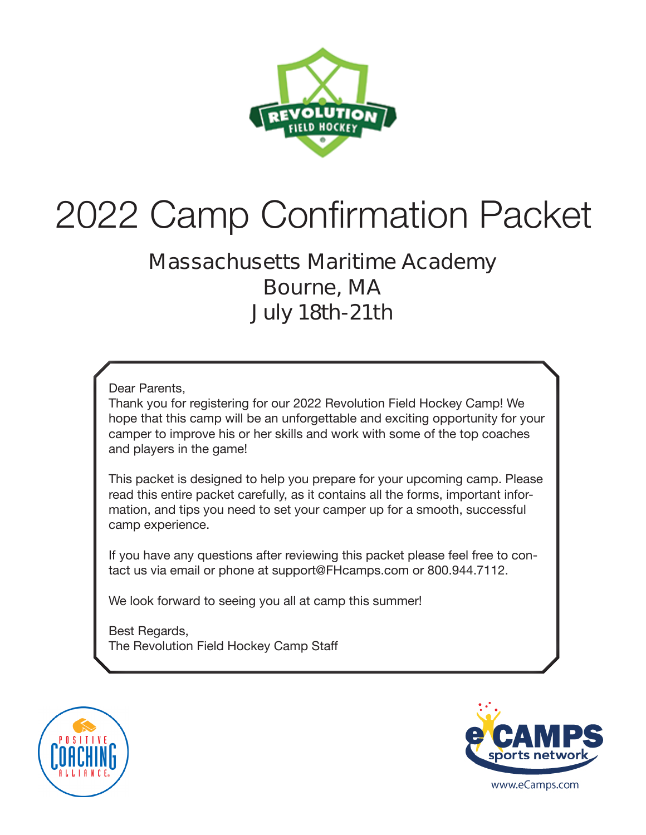

# 2022 Camp Confirmation Packet

### **Massachusetts Maritime Academy Bourne, MA July 18th-21th**

Dear Parents,

Thank you for registering for our 2022 Revolution Field Hockey Camp! We hope that this camp will be an unforgettable and exciting opportunity for your camper to improve his or her skills and work with some of the top coaches and players in the game!

This packet is designed to help you prepare for your upcoming camp. Please read this entire packet carefully, as it contains all the forms, important information, and tips you need to set your camper up for a smooth, successful camp experience.

If you have any questions after reviewing this packet please feel free to contact us via email or phone at support@FHcamps.com or 800.944.7112.

We look forward to seeing you all at camp this summer!

Best Regards, The Revolution Field Hockey Camp Staff



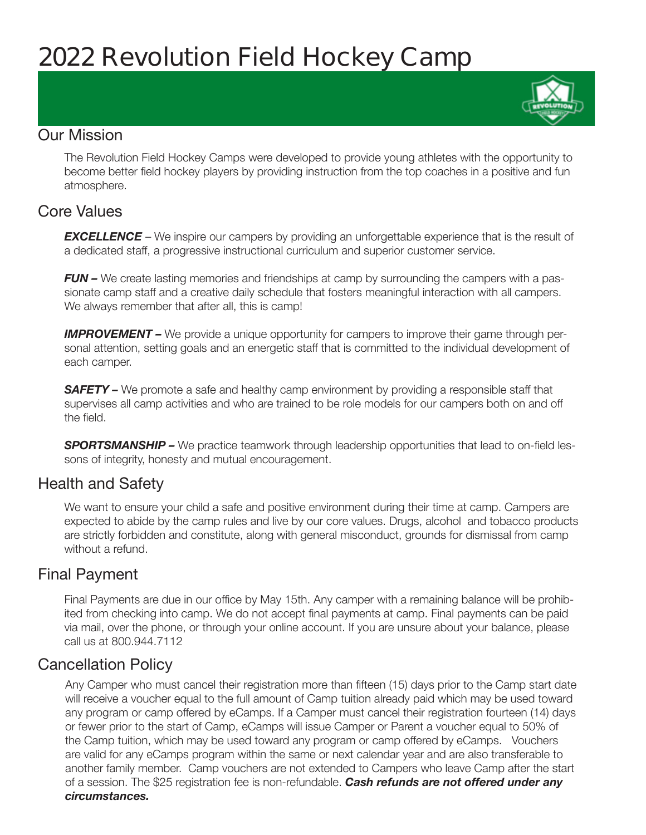## **2022 Revolution Field Hockey Camp**

#### Our Mission

The Revolution Field Hockey Camps were developed to provide young athletes with the opportunity to become better field hockey players by providing instruction from the top coaches in a positive and fun atmosphere.

#### Core Values

**EXCELLENCE** – We inspire our campers by providing an unforgettable experience that is the result of a dedicated staff, a progressive instructional curriculum and superior customer service.

*FUN –* We create lasting memories and friendships at camp by surrounding the campers with a passionate camp staff and a creative daily schedule that fosters meaningful interaction with all campers. We always remember that after all, this is camp!

**IMPROVEMENT –** We provide a unique opportunity for campers to improve their game through personal attention, setting goals and an energetic staff that is committed to the individual development of each camper.

**SAFETY** – We promote a safe and healthy camp environment by providing a responsible staff that supervises all camp activities and who are trained to be role models for our campers both on and off the field.

**SPORTSMANSHIP –** We practice teamwork through leadership opportunities that lead to on-field lessons of integrity, honesty and mutual encouragement.

#### Health and Safety

We want to ensure your child a safe and positive environment during their time at camp. Campers are expected to abide by the camp rules and live by our core values. Drugs, alcohol and tobacco products are strictly forbidden and constitute, along with general misconduct, grounds for dismissal from camp without a refund.

#### Final Payment

Final Payments are due in our office by May 15th. Any camper with a remaining balance will be prohibited from checking into camp. We do not accept final payments at camp. Final payments can be paid via mail, over the phone, or through your online account. If you are unsure about your balance, please call us at 800.944.7112

#### Cancellation Policy

Any Camper who must cancel their registration more than fifteen (15) days prior to the Camp start date will receive a voucher equal to the full amount of Camp tuition already paid which may be used toward any program or camp offered by eCamps. If a Camper must cancel their registration fourteen (14) days or fewer prior to the start of Camp, eCamps will issue Camper or Parent a voucher equal to 50% of the Camp tuition, which may be used toward any program or camp offered by eCamps. Vouchers are valid for any eCamps program within the same or next calendar year and are also transferable to another family member. Camp vouchers are not extended to Campers who leave Camp after the start of a session. The \$25 registration fee is non-refundable. *Cash refunds are not offered under any circumstances.*

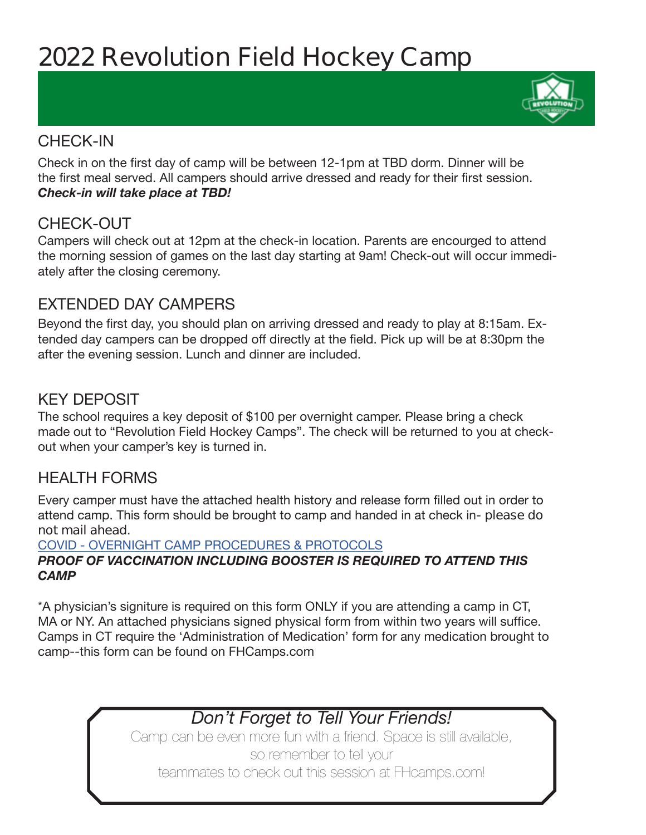# **2022 Revolution Field Hockey Camp**

#### CHECK-IN

Check in on the first day of camp will be between 12-1pm at TBD dorm. Dinner will be the first meal served. All campers should arrive dressed and ready for their first session. *Check-in will take place at TBD!* 

#### CHECK-OUT

Campers will check out at 12pm at the check-in location. Parents are encourged to attend the morning session of games on the last day starting at 9am! Check-out will occur immediately after the closing ceremony.

#### EXTENDED DAY CAMPERS

Beyond the first day, you should plan on arriving dressed and ready to play at 8:15am. Extended day campers can be dropped off directly at the field. Pick up will be at 8:30pm the after the evening session. Lunch and dinner are included.

#### KEY DEPOSIT

The school requires a key deposit of \$100 per overnight camper. Please bring a check made out to "Revolution Field Hockey Camps". The check will be returned to you at checkout when your camper's key is turned in.

#### HEALTH FORMS

Every camper must have the attached health history and release form filled out in order to attend camp. This form should be brought to camp and handed in at check in- **please do not mail ahead**.

#### COVID - OVERNIGHT CAMP PROCEDURES & PROTOCOLS *PROOF OF VACCINATION INCLUDING BOOSTER IS REQUIRED TO ATTEND THIS CAMP*

\*A physician's signiture is required on this form ONLY if you are attending a camp in CT, MA or NY. An attached physicians signed physical form from within two years will suffice. Camps in CT require the 'Administration of Medication' form for any medication brought to camp--this form can be found on FHCamps.com

### *Don't Forget to Tell Your Friends!*

Camp can be even more fun with a friend. Space is still available, so remember to tell your teammates to check out this session at FHcamps.com!

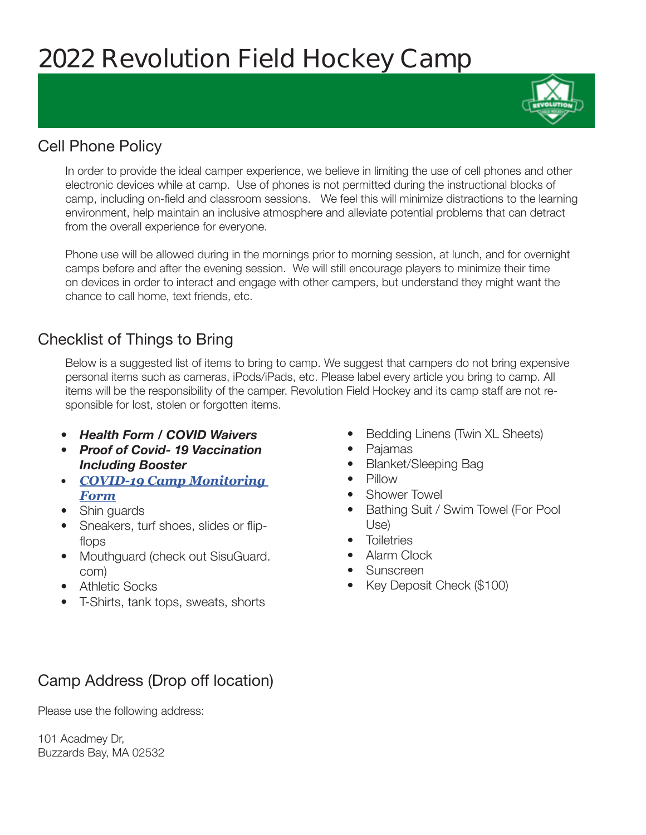### **2022 Revolution Field Hockey Camp**

#### Cell Phone Policy

In order to provide the ideal camper experience, we believe in limiting the use of cell phones and other electronic devices while at camp. Use of phones is not permitted during the instructional blocks of camp, including on-field and classroom sessions. We feel this will minimize distractions to the learning environment, help maintain an inclusive atmosphere and alleviate potential problems that can detract from the overall experience for everyone.

Phone use will be allowed during in the mornings prior to morning session, at lunch, and for overnight camps before and after the evening session. We will still encourage players to minimize their time on devices in order to interact and engage with other campers, but understand they might want the chance to call home, text friends, etc.

#### Checklist of Things to Bring

Below is a suggested list of items to bring to camp. We suggest that campers do not bring expensive personal items such as cameras, iPods/iPads, etc. Please label every article you bring to camp. All items will be the responsibility of the camper. Revolution Field Hockey and its camp staff are not responsible for lost, stolen or forgotten items.

- *• Health Form / COVID Waivers*
- *• Proof of Covid- 19 Vaccination Including Booster*
- *• COVID-19 Camp Monitoring Form*
- Shin guards
- Sneakers, turf shoes, slides or flipflops
- Mouthguard (check out SisuGuard. com)
- Athletic Socks
- T-Shirts, tank tops, sweats, shorts
- Bedding Linens (Twin XL Sheets)
- Pajamas
- Blanket/Sleeping Bag
- Pillow
- Shower Towel
- Bathing Suit / Swim Towel (For Pool Use)
- Toiletries
- Alarm Clock
- Sunscreen
- Key Deposit Check (\$100)

#### Camp Address (Drop off location)

Please use the following address:

101 Acadmey Dr, Buzzards Bay, MA 02532